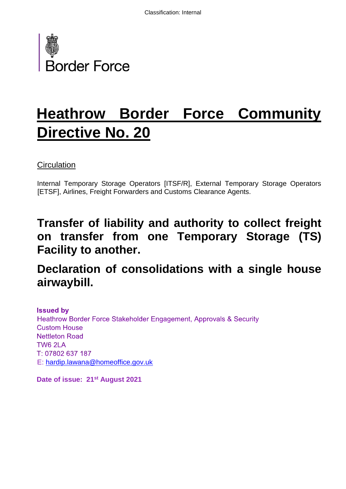

# **Heathrow Border Force Community Directive No. 20**

**Circulation** 

Internal Temporary Storage Operators [ITSF/R], External Temporary Storage Operators [ETSF], Airlines, Freight Forwarders and Customs Clearance Agents.

# **Transfer of liability and authority to collect freight on transfer from one Temporary Storage (TS) Facility to another.**

# **Declaration of consolidations with a single house airwaybill.**

**Issued by** Heathrow Border Force Stakeholder Engagement, Approvals & Security **Custom House Nettleton Road** TW6 2LA T: 07802 637 187 E: hardip.lawana@homeoffice.gov.uk

**Date of issue: 21st August 2021**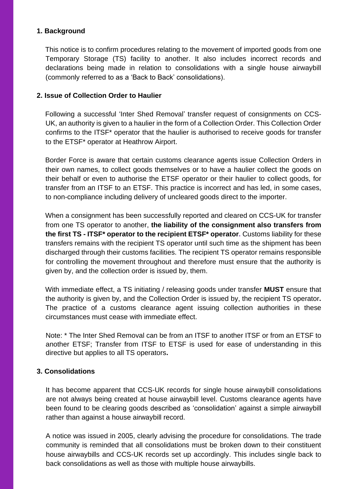### **1. Background**

This notice is to confirm procedures relating to the movement of imported goods from one Temporary Storage (TS) facility to another. It also includes incorrect records and declarations being made in relation to consolidations with a single house airwaybill (commonly referred to as a 'Back to Back' consolidations).

#### **2. Issue of Collection Order to Haulier**

Following a successful 'Inter Shed Removal' transfer request of consignments on CCS-UK, an authority is given to a haulier in the form of a Collection Order. This Collection Order confirms to the ITSF\* operator that the haulier is authorised to receive goods for transfer to the ETSF\* operator at Heathrow Airport.

Border Force is aware that certain customs clearance agents issue Collection Orders in their own names, to collect goods themselves or to have a haulier collect the goods on their behalf or even to authorise the ETSF operator or their haulier to collect goods, for transfer from an ITSF to an ETSF. This practice is incorrect and has led, in some cases, to non-compliance including delivery of uncleared goods direct to the importer.

When a consignment has been successfully reported and cleared on CCS-UK for transfer from one TS operator to another, **the liability of the consignment also transfers from the first TS - ITSF\* operator to the recipient ETSF\* operator.** Customs liability for these transfers remains with the recipient TS operator until such time as the shipment has been discharged through their customs facilities. The recipient TS operator remains responsible for controlling the movement throughout and therefore must ensure that the authority is given by, and the collection order is issued by, them.

With immediate effect, a TS initiating / releasing goods under transfer **MUST** ensure that the authority is given by, and the Collection Order is issued by, the recipient TS operator**.** The practice of a customs clearance agent issuing collection authorities in these circumstances must cease with immediate effect.

Note: \* The Inter Shed Removal can be from an ITSF to another ITSF or from an ETSF to another ETSF; Transfer from ITSF to ETSF is used for ease of understanding in this directive but applies to all TS operators**.**

#### **3. Consolidations**

It has become apparent that CCS-UK records for single house airwaybill consolidations are not always being created at house airwaybill level. Customs clearance agents have been found to be clearing goods described as 'consolidation' against a simple airwaybill rather than against a house airwaybill record.

A notice was issued in 2005, clearly advising the procedure for consolidations. The trade community is reminded that all consolidations must be broken down to their constituent house airwaybills and CCS-UK records set up accordingly. This includes single back to back consolidations as well as those with multiple house airwaybills.